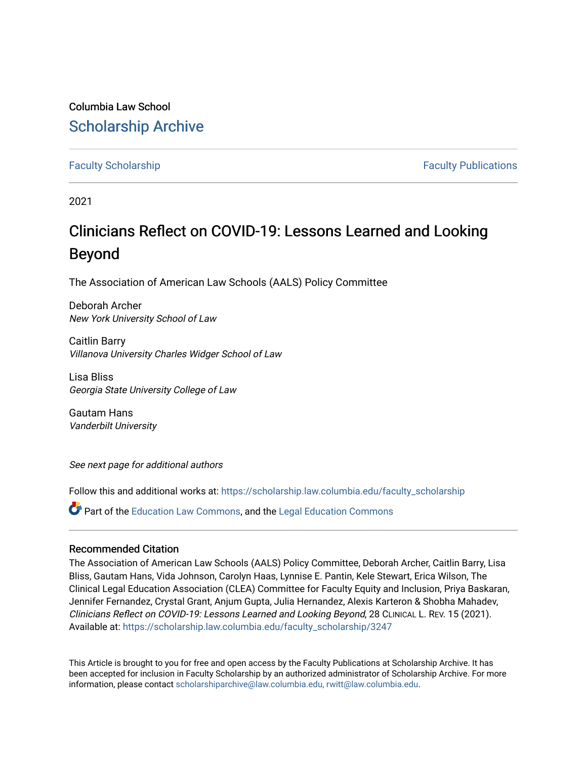# Columbia Law School [Scholarship Archive](https://scholarship.law.columbia.edu/)

[Faculty Scholarship](https://scholarship.law.columbia.edu/faculty_scholarship) [Faculty Publications](https://scholarship.law.columbia.edu/faculty_publications) 

2021

# Clinicians Reflect on COVID-19: Lessons Learned and Looking Beyond

The Association of American Law Schools (AALS) Policy Committee

Deborah Archer New York University School of Law

Caitlin Barry Villanova University Charles Widger School of Law

Lisa Bliss Georgia State University College of Law

Gautam Hans Vanderbilt University

See next page for additional authors

Follow this and additional works at: [https://scholarship.law.columbia.edu/faculty\\_scholarship](https://scholarship.law.columbia.edu/faculty_scholarship?utm_source=scholarship.law.columbia.edu%2Ffaculty_scholarship%2F3247&utm_medium=PDF&utm_campaign=PDFCoverPages)

Part of the [Education Law Commons,](http://network.bepress.com/hgg/discipline/596?utm_source=scholarship.law.columbia.edu%2Ffaculty_scholarship%2F3247&utm_medium=PDF&utm_campaign=PDFCoverPages) and the [Legal Education Commons](http://network.bepress.com/hgg/discipline/857?utm_source=scholarship.law.columbia.edu%2Ffaculty_scholarship%2F3247&utm_medium=PDF&utm_campaign=PDFCoverPages) 

# Recommended Citation

The Association of American Law Schools (AALS) Policy Committee, Deborah Archer, Caitlin Barry, Lisa Bliss, Gautam Hans, Vida Johnson, Carolyn Haas, Lynnise E. Pantin, Kele Stewart, Erica Wilson, The Clinical Legal Education Association (CLEA) Committee for Faculty Equity and Inclusion, Priya Baskaran, Jennifer Fernandez, Crystal Grant, Anjum Gupta, Julia Hernandez, Alexis Karteron & Shobha Mahadev, Clinicians Reflect on COVID-19: Lessons Learned and Looking Beyond, 28 CLINICAL L. REV. 15 (2021). Available at: [https://scholarship.law.columbia.edu/faculty\\_scholarship/3247](https://scholarship.law.columbia.edu/faculty_scholarship/3247?utm_source=scholarship.law.columbia.edu%2Ffaculty_scholarship%2F3247&utm_medium=PDF&utm_campaign=PDFCoverPages)

This Article is brought to you for free and open access by the Faculty Publications at Scholarship Archive. It has been accepted for inclusion in Faculty Scholarship by an authorized administrator of Scholarship Archive. For more information, please contact [scholarshiparchive@law.columbia.edu, rwitt@law.columbia.edu](mailto:scholarshiparchive@law.columbia.edu,%20rwitt@law.columbia.edu).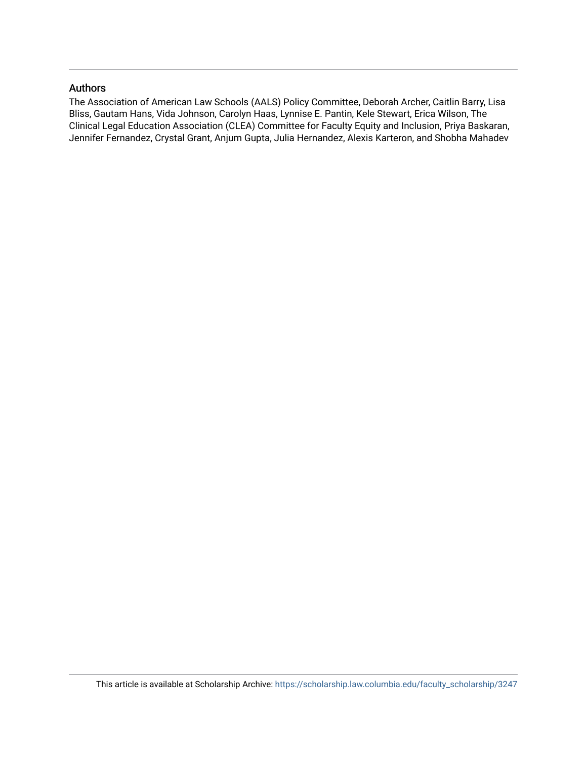# Authors

The Association of American Law Schools (AALS) Policy Committee, Deborah Archer, Caitlin Barry, Lisa Bliss, Gautam Hans, Vida Johnson, Carolyn Haas, Lynnise E. Pantin, Kele Stewart, Erica Wilson, The Clinical Legal Education Association (CLEA) Committee for Faculty Equity and Inclusion, Priya Baskaran, Jennifer Fernandez, Crystal Grant, Anjum Gupta, Julia Hernandez, Alexis Karteron, and Shobha Mahadev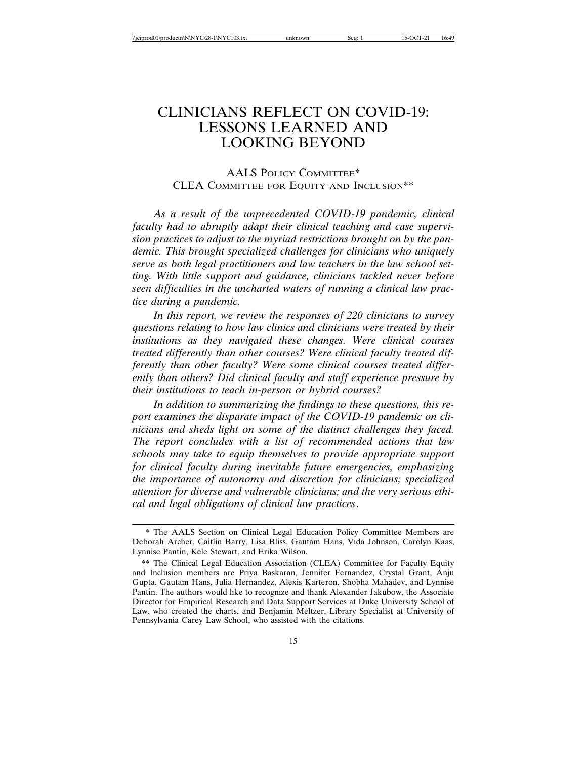# CLINICIANS REFLECT ON COVID-19: LESSONS LEARNED AND LOOKING BEYOND

# AALS POLICY COMMITTEE\* CLEA COMMITTEE FOR EQUITY AND INCLUSION\*\*

*As a result of the unprecedented COVID-19 pandemic, clinical faculty had to abruptly adapt their clinical teaching and case supervision practices to adjust to the myriad restrictions brought on by the pandemic. This brought specialized challenges for clinicians who uniquely serve as both legal practitioners and law teachers in the law school setting. With little support and guidance, clinicians tackled never before seen difficulties in the uncharted waters of running a clinical law practice during a pandemic.*

*In this report, we review the responses of 220 clinicians to survey questions relating to how law clinics and clinicians were treated by their institutions as they navigated these changes. Were clinical courses treated differently than other courses? Were clinical faculty treated differently than other faculty? Were some clinical courses treated differently than others? Did clinical faculty and staff experience pressure by their institutions to teach in-person or hybrid courses?*

*In addition to summarizing the findings to these questions, this report examines the disparate impact of the COVID-19 pandemic on clinicians and sheds light on some of the distinct challenges they faced. The report concludes with a list of recommended actions that law schools may take to equip themselves to provide appropriate support for clinical faculty during inevitable future emergencies, emphasizing the importance of autonomy and discretion for clinicians; specialized attention for diverse and vulnerable clinicians; and the very serious ethical and legal obligations of clinical law practices*.

<sup>\*</sup> The AALS Section on Clinical Legal Education Policy Committee Members are Deborah Archer, Caitlin Barry, Lisa Bliss, Gautam Hans, Vida Johnson, Carolyn Kaas, Lynnise Pantin, Kele Stewart, and Erika Wilson.

<sup>\*\*</sup> The Clinical Legal Education Association (CLEA) Committee for Faculty Equity and Inclusion members are Priya Baskaran, Jennifer Fernandez, Crystal Grant, Anju Gupta, Gautam Hans, Julia Hernandez, Alexis Karteron, Shobha Mahadev, and Lynnise Pantin. The authors would like to recognize and thank Alexander Jakubow, the Associate Director for Empirical Research and Data Support Services at Duke University School of Law, who created the charts, and Benjamin Meltzer, Library Specialist at University of Pennsylvania Carey Law School, who assisted with the citations.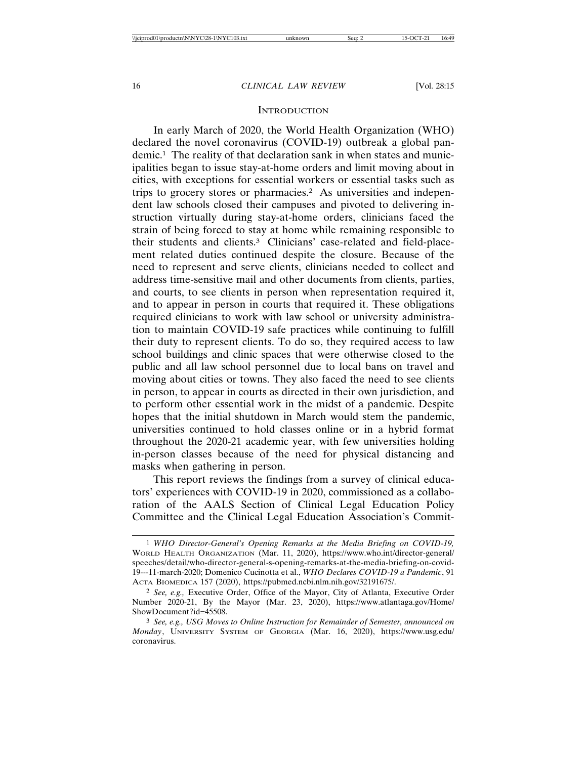#### **INTRODUCTION**

In early March of 2020, the World Health Organization (WHO) declared the novel coronavirus (COVID-19) outbreak a global pandemic.1 The reality of that declaration sank in when states and municipalities began to issue stay-at-home orders and limit moving about in cities, with exceptions for essential workers or essential tasks such as trips to grocery stores or pharmacies.2 As universities and independent law schools closed their campuses and pivoted to delivering instruction virtually during stay-at-home orders, clinicians faced the strain of being forced to stay at home while remaining responsible to their students and clients.3 Clinicians' case-related and field-placement related duties continued despite the closure. Because of the need to represent and serve clients, clinicians needed to collect and address time-sensitive mail and other documents from clients, parties, and courts, to see clients in person when representation required it, and to appear in person in courts that required it. These obligations required clinicians to work with law school or university administration to maintain COVID-19 safe practices while continuing to fulfill their duty to represent clients. To do so, they required access to law school buildings and clinic spaces that were otherwise closed to the public and all law school personnel due to local bans on travel and moving about cities or towns. They also faced the need to see clients in person, to appear in courts as directed in their own jurisdiction, and to perform other essential work in the midst of a pandemic. Despite hopes that the initial shutdown in March would stem the pandemic, universities continued to hold classes online or in a hybrid format throughout the 2020-21 academic year, with few universities holding in-person classes because of the need for physical distancing and masks when gathering in person.

This report reviews the findings from a survey of clinical educators' experiences with COVID-19 in 2020, commissioned as a collaboration of the AALS Section of Clinical Legal Education Policy Committee and the Clinical Legal Education Association's Commit-

<sup>1</sup> *WHO Director-General's Opening Remarks at the Media Briefing on COVID-19,* WORLD HEALTH ORGANIZATION (Mar. 11, 2020), https://www.who.int/director-general/ speeches/detail/who-director-general-s-opening-remarks-at-the-media-briefing-on-covid-19---11-march-2020; Domenico Cucinotta et al., *WHO Declares COVID-19 a Pandemic*, 91 ACTA BIOMEDICA 157 (2020), https://pubmed.ncbi.nlm.nih.gov/32191675/.

<sup>2</sup> *See, e.g.,* Executive Order, Office of the Mayor, City of Atlanta, Executive Order Number 2020-21, By the Mayor (Mar. 23, 2020), https://www.atlantaga.gov/Home/ ShowDocument?id=45508.

<sup>3</sup> *See, e.g., USG Moves to Online Instruction for Remainder of Semester, announced on Monday*, UNIVERSITY SYSTEM OF GEORGIA (Mar. 16, 2020), https://www.usg.edu/ coronavirus.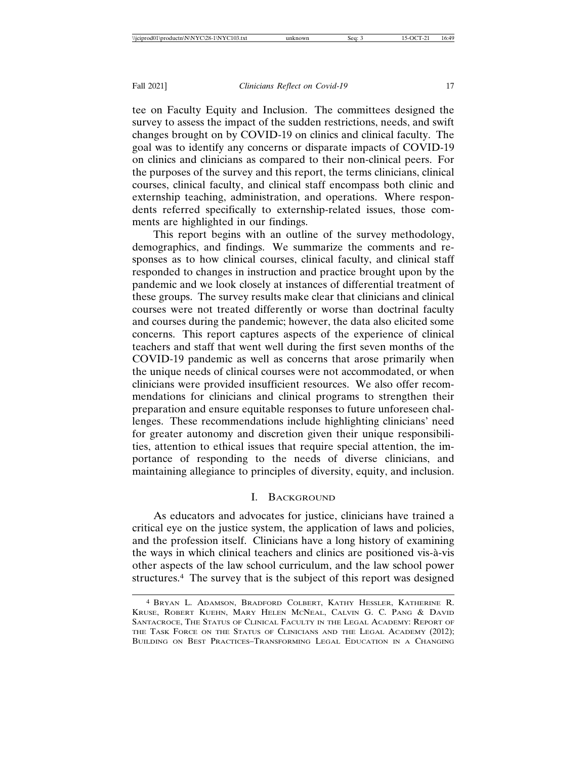tee on Faculty Equity and Inclusion. The committees designed the survey to assess the impact of the sudden restrictions, needs, and swift changes brought on by COVID-19 on clinics and clinical faculty. The goal was to identify any concerns or disparate impacts of COVID-19 on clinics and clinicians as compared to their non-clinical peers. For the purposes of the survey and this report, the terms clinicians, clinical courses, clinical faculty, and clinical staff encompass both clinic and externship teaching, administration, and operations. Where respondents referred specifically to externship-related issues, those comments are highlighted in our findings.

This report begins with an outline of the survey methodology, demographics, and findings. We summarize the comments and responses as to how clinical courses, clinical faculty, and clinical staff responded to changes in instruction and practice brought upon by the pandemic and we look closely at instances of differential treatment of these groups. The survey results make clear that clinicians and clinical courses were not treated differently or worse than doctrinal faculty and courses during the pandemic; however, the data also elicited some concerns. This report captures aspects of the experience of clinical teachers and staff that went well during the first seven months of the COVID-19 pandemic as well as concerns that arose primarily when the unique needs of clinical courses were not accommodated, or when clinicians were provided insufficient resources. We also offer recommendations for clinicians and clinical programs to strengthen their preparation and ensure equitable responses to future unforeseen challenges. These recommendations include highlighting clinicians' need for greater autonomy and discretion given their unique responsibilities, attention to ethical issues that require special attention, the importance of responding to the needs of diverse clinicians, and maintaining allegiance to principles of diversity, equity, and inclusion.

### I. BACKGROUND

As educators and advocates for justice, clinicians have trained a critical eye on the justice system, the application of laws and policies, and the profession itself. Clinicians have a long history of examining the ways in which clinical teachers and clinics are positioned vis-à-vis other aspects of the law school curriculum, and the law school power structures.4 The survey that is the subject of this report was designed

<sup>4</sup> BRYAN L. ADAMSON, BRADFORD COLBERT, KATHY HESSLER, KATHERINE R. KRUSE, ROBERT KUEHN, MARY HELEN MCNEAL, CALVIN G. C. PANG & DAVID SANTACROCE, THE STATUS OF CLINICAL FACULTY IN THE LEGAL ACADEMY: REPORT OF THE TASK FORCE ON THE STATUS OF CLINICIANS AND THE LEGAL ACADEMY (2012); BUILDING ON BEST PRACTICES–TRANSFORMING LEGAL EDUCATION IN A CHANGING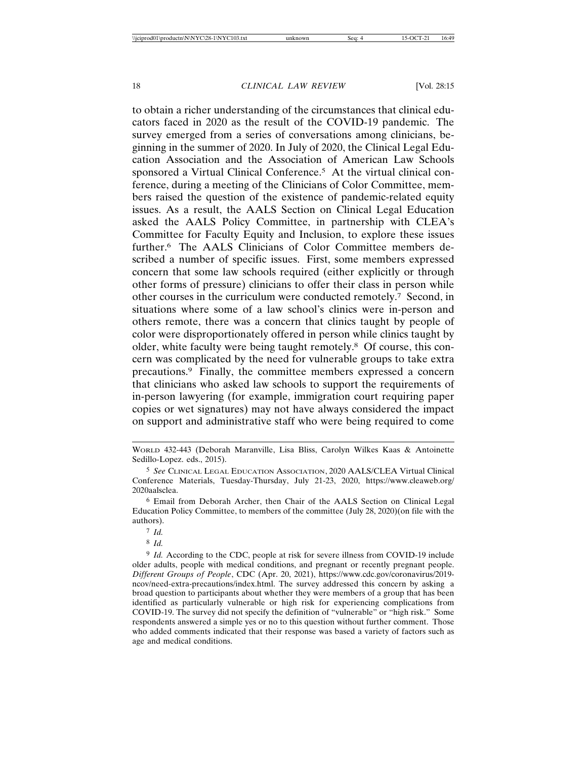to obtain a richer understanding of the circumstances that clinical educators faced in 2020 as the result of the COVID-19 pandemic. The survey emerged from a series of conversations among clinicians, beginning in the summer of 2020. In July of 2020, the Clinical Legal Education Association and the Association of American Law Schools sponsored a Virtual Clinical Conference.<sup>5</sup> At the virtual clinical conference, during a meeting of the Clinicians of Color Committee, members raised the question of the existence of pandemic-related equity issues. As a result, the AALS Section on Clinical Legal Education asked the AALS Policy Committee, in partnership with CLEA's Committee for Faculty Equity and Inclusion, to explore these issues further.6 The AALS Clinicians of Color Committee members described a number of specific issues. First, some members expressed concern that some law schools required (either explicitly or through other forms of pressure) clinicians to offer their class in person while other courses in the curriculum were conducted remotely.7 Second, in situations where some of a law school's clinics were in-person and others remote, there was a concern that clinics taught by people of color were disproportionately offered in person while clinics taught by older, white faculty were being taught remotely.8 Of course, this concern was complicated by the need for vulnerable groups to take extra precautions.9 Finally, the committee members expressed a concern that clinicians who asked law schools to support the requirements of in-person lawyering (for example, immigration court requiring paper copies or wet signatures) may not have always considered the impact on support and administrative staff who were being required to come

WORLD 432-443 (Deborah Maranville, Lisa Bliss, Carolyn Wilkes Kaas & Antoinette Sedillo-Lopez. eds., 2015).

<sup>5</sup> *See* CLINICAL LEGAL EDUCATION ASSOCIATION, 2020 AALS/CLEA Virtual Clinical Conference Materials, Tuesday-Thursday, July 21-23, 2020, https://www.cleaweb.org/ 2020aalsclea.

<sup>6</sup> Email from Deborah Archer, then Chair of the AALS Section on Clinical Legal Education Policy Committee, to members of the committee (July 28, 2020)(on file with the authors).

<sup>7</sup> *Id.*

<sup>8</sup> *Id.*

<sup>&</sup>lt;sup>9</sup> *Id.* According to the CDC, people at risk for severe illness from COVID-19 include older adults, people with medical conditions, and pregnant or recently pregnant people. *Different Groups of People*, CDC (Apr. 20, 2021), https://www.cdc.gov/coronavirus/2019 ncov/need-extra-precautions/index.html. The survey addressed this concern by asking a broad question to participants about whether they were members of a group that has been identified as particularly vulnerable or high risk for experiencing complications from COVID-19. The survey did not specify the definition of "vulnerable" or "high risk." Some respondents answered a simple yes or no to this question without further comment. Those who added comments indicated that their response was based a variety of factors such as age and medical conditions.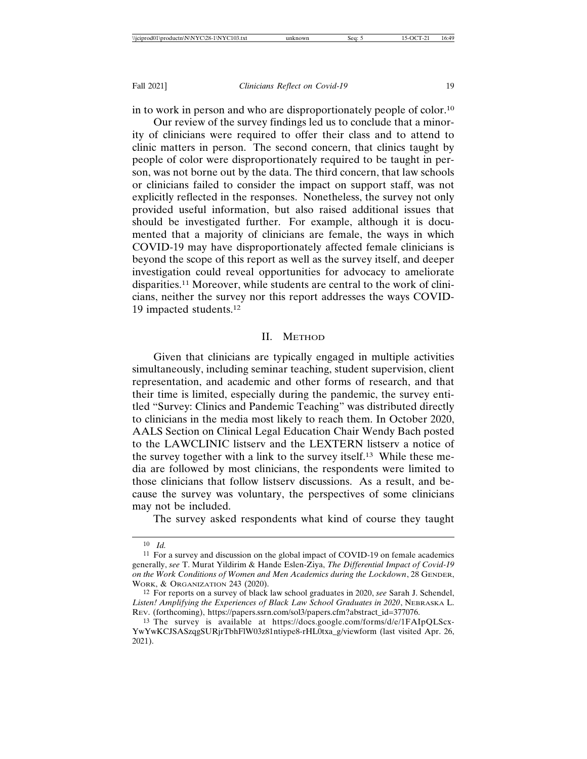in to work in person and who are disproportionately people of color.10 Our review of the survey findings led us to conclude that a minor-

ity of clinicians were required to offer their class and to attend to clinic matters in person. The second concern, that clinics taught by people of color were disproportionately required to be taught in person, was not borne out by the data. The third concern, that law schools or clinicians failed to consider the impact on support staff, was not explicitly reflected in the responses. Nonetheless, the survey not only provided useful information, but also raised additional issues that should be investigated further. For example, although it is documented that a majority of clinicians are female, the ways in which COVID-19 may have disproportionately affected female clinicians is beyond the scope of this report as well as the survey itself, and deeper investigation could reveal opportunities for advocacy to ameliorate disparities.11 Moreover, while students are central to the work of clinicians, neither the survey nor this report addresses the ways COVID-19 impacted students.12

### II. METHOD

Given that clinicians are typically engaged in multiple activities simultaneously, including seminar teaching, student supervision, client representation, and academic and other forms of research, and that their time is limited, especially during the pandemic, the survey entitled "Survey: Clinics and Pandemic Teaching" was distributed directly to clinicians in the media most likely to reach them. In October 2020, AALS Section on Clinical Legal Education Chair Wendy Bach posted to the LAWCLINIC listserv and the LEXTERN listserv a notice of the survey together with a link to the survey itself.13 While these media are followed by most clinicians, the respondents were limited to those clinicians that follow listserv discussions. As a result, and because the survey was voluntary, the perspectives of some clinicians may not be included.

The survey asked respondents what kind of course they taught

<sup>10</sup> *Id.*

<sup>11</sup> For a survey and discussion on the global impact of COVID-19 on female academics generally, *see* T. Murat Yildirim & Hande Eslen-Ziya, *The Differential Impact of Covid-19 on the Work Conditions of Women and Men Academics during the Lockdown*, 28 GENDER, WORK, & ORGANIZATION 243 (2020).

<sup>12</sup> For reports on a survey of black law school graduates in 2020, *see* Sarah J. Schendel, *Listen! Amplifying the Experiences of Black Law School Graduates in 2020*, NEBRASKA L. REV. (forthcoming), https://papers.ssrn.com/sol3/papers.cfm?abstract\_id=377076.

<sup>13</sup> The survey is available at https://docs.google.com/forms/d/e/1FAIpQLScx-YwYwKCJSASzqgSURjrTbhFlW03z81ntiype8-rHL0txa\_g/viewform (last visited Apr. 26, 2021).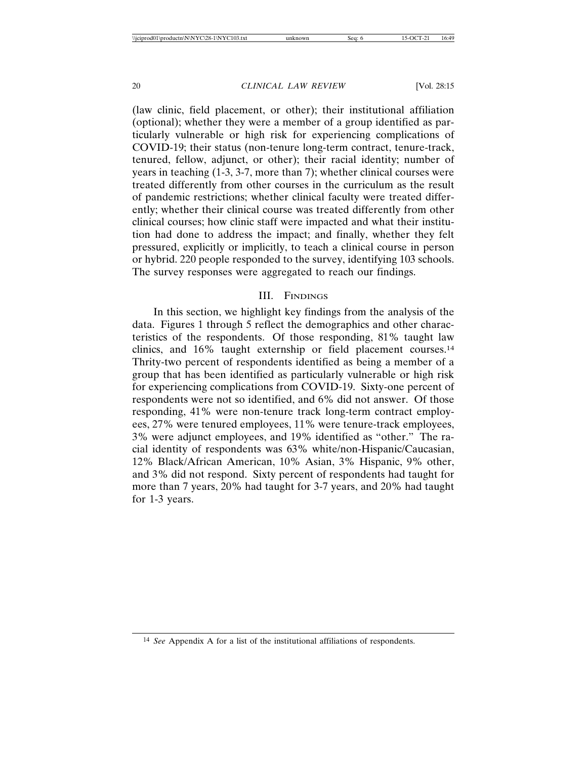(law clinic, field placement, or other); their institutional affiliation (optional); whether they were a member of a group identified as particularly vulnerable or high risk for experiencing complications of COVID-19; their status (non-tenure long-term contract, tenure-track, tenured, fellow, adjunct, or other); their racial identity; number of years in teaching (1-3, 3-7, more than 7); whether clinical courses were treated differently from other courses in the curriculum as the result of pandemic restrictions; whether clinical faculty were treated differently; whether their clinical course was treated differently from other clinical courses; how clinic staff were impacted and what their institution had done to address the impact; and finally, whether they felt pressured, explicitly or implicitly, to teach a clinical course in person or hybrid. 220 people responded to the survey, identifying 103 schools. The survey responses were aggregated to reach our findings.

#### III. FINDINGS

In this section, we highlight key findings from the analysis of the data. Figures 1 through 5 reflect the demographics and other characteristics of the respondents. Of those responding, 81% taught law clinics, and 16% taught externship or field placement courses.14 Thrity-two percent of respondents identified as being a member of a group that has been identified as particularly vulnerable or high risk for experiencing complications from COVID-19. Sixty-one percent of respondents were not so identified, and 6% did not answer. Of those responding, 41% were non-tenure track long-term contract employees, 27% were tenured employees, 11% were tenure-track employees, 3% were adjunct employees, and 19% identified as "other." The racial identity of respondents was 63% white/non-Hispanic/Caucasian, 12% Black/African American, 10% Asian, 3% Hispanic, 9% other, and 3% did not respond. Sixty percent of respondents had taught for more than 7 years, 20% had taught for 3-7 years, and 20% had taught for 1-3 years.

<sup>14</sup> *See* Appendix A for a list of the institutional affiliations of respondents.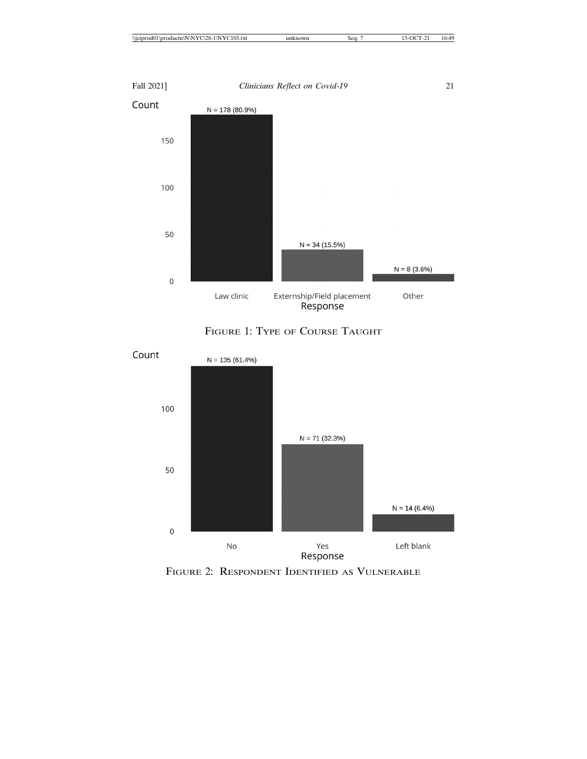| .<br>10 <sup>2</sup><br>28-.<br>)3.txt<br>N<br>$\Upsilon$<br>Y<br>∖N<br>.<br>۱DI<br>،n۷<br>m 1116 | sea.<br>◡◡ | -- 41<br>16:4<br>- |
|---------------------------------------------------------------------------------------------------|------------|--------------------|
|                                                                                                   |            |                    |



FIGURE 1: TYPE OF COURSE TAUGHT



FIGURE 2: RESPONDENT IDENTIFIED AS VULNERABLE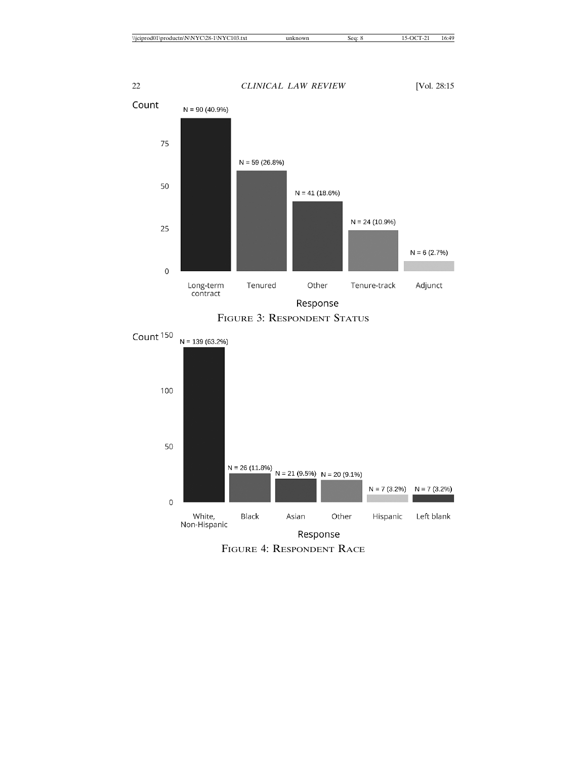



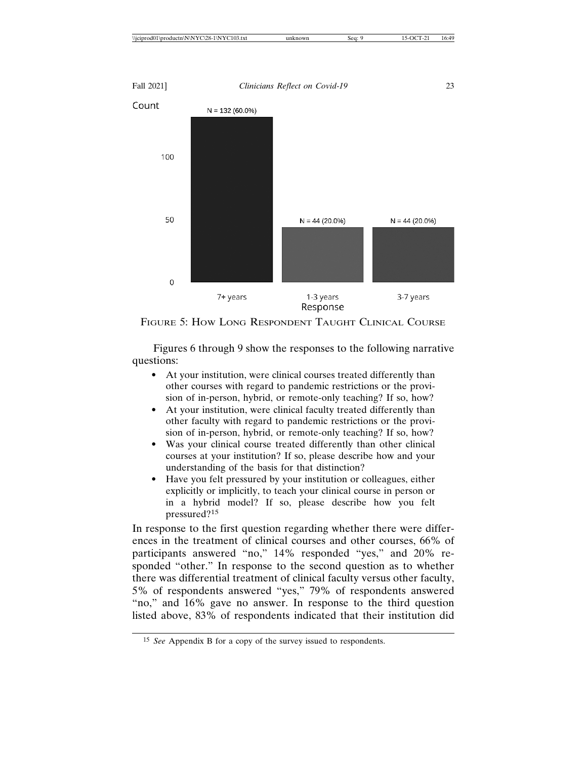| "YC103.txt<br>\\iciprod(<br>10.4<br>\N\NYC<br>.128-1<br>11N<br>$\text{hrad}$ | sea:<br>now <sub>1</sub> | 16:49 |
|------------------------------------------------------------------------------|--------------------------|-------|
|                                                                              |                          |       |



FIGURE 5: HOW LONG RESPONDENT TAUGHT CLINICAL COURSE

Figures 6 through 9 show the responses to the following narrative questions:

- At your institution, were clinical courses treated differently than other courses with regard to pandemic restrictions or the provision of in-person, hybrid, or remote-only teaching? If so, how?
- At your institution, were clinical faculty treated differently than other faculty with regard to pandemic restrictions or the provision of in-person, hybrid, or remote-only teaching? If so, how?
- Was your clinical course treated differently than other clinical courses at your institution? If so, please describe how and your understanding of the basis for that distinction?
- Have you felt pressured by your institution or colleagues, either explicitly or implicitly, to teach your clinical course in person or in a hybrid model? If so, please describe how you felt pressured?<sup>15</sup>

In response to the first question regarding whether there were differences in the treatment of clinical courses and other courses, 66% of participants answered "no," 14% responded "yes," and 20% responded "other." In response to the second question as to whether there was differential treatment of clinical faculty versus other faculty, 5% of respondents answered "yes," 79% of respondents answered "no," and 16% gave no answer. In response to the third question listed above, 83% of respondents indicated that their institution did

<sup>15</sup> *See* Appendix B for a copy of the survey issued to respondents.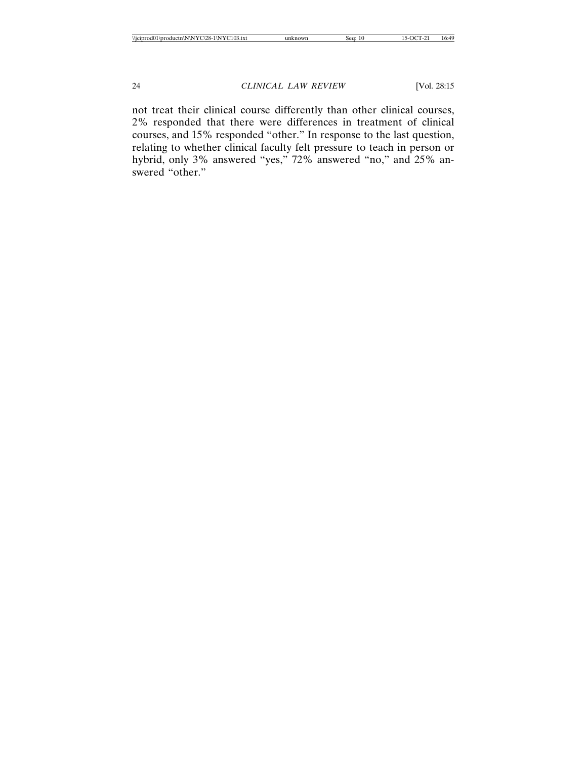not treat their clinical course differently than other clinical courses, 2% responded that there were differences in treatment of clinical courses, and 15% responded "other." In response to the last question, relating to whether clinical faculty felt pressure to teach in person or hybrid, only 3% answered "yes," 72% answered "no," and 25% answered "other."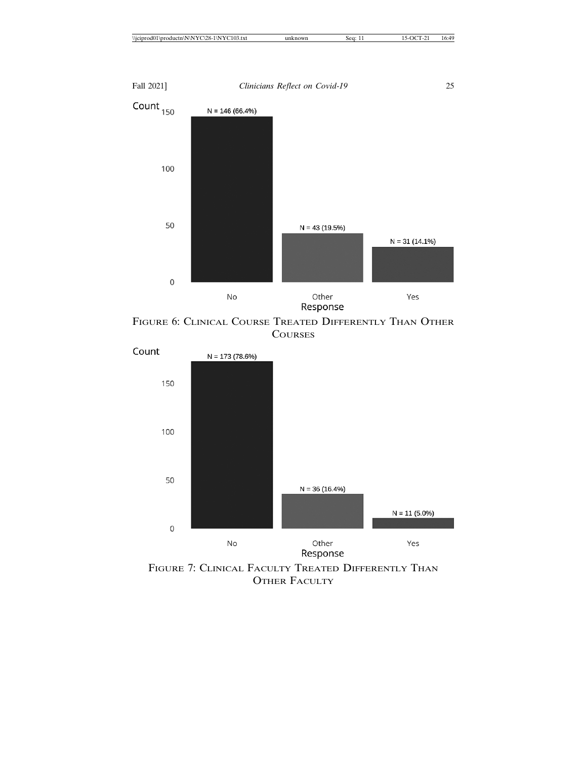|  | $\cdots$<br>$\sim$<br>$\sim$ 103.1 $\lambda$<br>าเ<br>N<br><br>$\sqrt{1}$<br>า<br>$\lambda$<br><br>. | sea | 10.T.<br>-<br>. . |
|--|------------------------------------------------------------------------------------------------------|-----|-------------------|
|--|------------------------------------------------------------------------------------------------------|-----|-------------------|



FIGURE 6: CLINICAL COURSE TREATED DIFFERENTLY THAN OTHER **COURSES** 



FIGURE 7: CLINICAL FACULTY TREATED DIFFERENTLY THAN OTHER FACULTY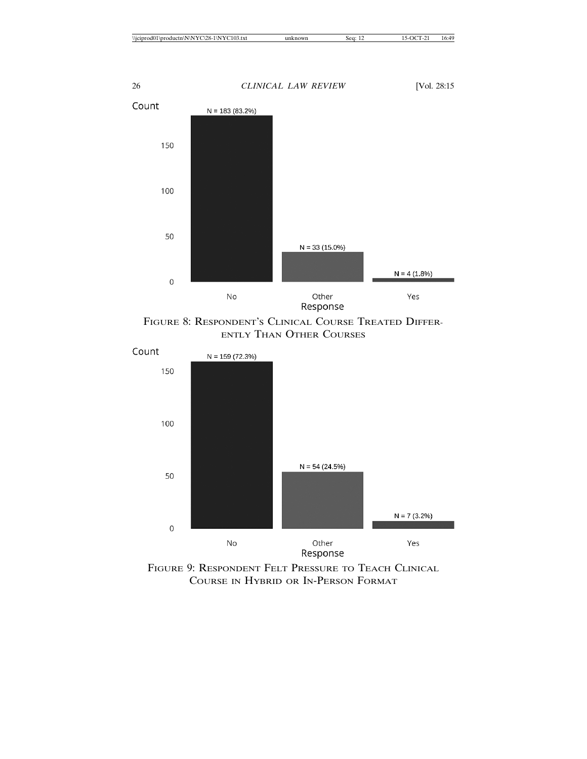



FIGURE 8: RESPONDENT'S CLINICAL COURSE TREATED DIFFER-ENTLY THAN OTHER COURSES



FIGURE 9: RESPONDENT FELT PRESSURE TO TEACH CLINICAL COURSE IN HYBRID OR IN-PERSON FORMAT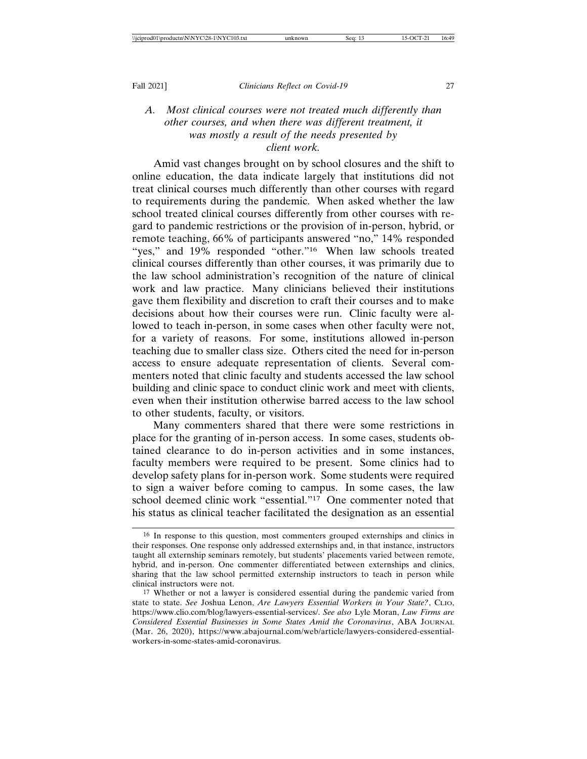# *A. Most clinical courses were not treated much differently than other courses, and when there was different treatment, it was mostly a result of the needs presented by client work.*

Amid vast changes brought on by school closures and the shift to online education, the data indicate largely that institutions did not treat clinical courses much differently than other courses with regard to requirements during the pandemic. When asked whether the law school treated clinical courses differently from other courses with regard to pandemic restrictions or the provision of in-person, hybrid, or remote teaching, 66% of participants answered "no," 14% responded "yes," and 19% responded "other."16 When law schools treated clinical courses differently than other courses, it was primarily due to the law school administration's recognition of the nature of clinical work and law practice. Many clinicians believed their institutions gave them flexibility and discretion to craft their courses and to make decisions about how their courses were run. Clinic faculty were allowed to teach in-person, in some cases when other faculty were not, for a variety of reasons. For some, institutions allowed in-person teaching due to smaller class size. Others cited the need for in-person access to ensure adequate representation of clients. Several commenters noted that clinic faculty and students accessed the law school building and clinic space to conduct clinic work and meet with clients, even when their institution otherwise barred access to the law school to other students, faculty, or visitors.

Many commenters shared that there were some restrictions in place for the granting of in-person access. In some cases, students obtained clearance to do in-person activities and in some instances, faculty members were required to be present. Some clinics had to develop safety plans for in-person work. Some students were required to sign a waiver before coming to campus. In some cases, the law school deemed clinic work "essential."17 One commenter noted that his status as clinical teacher facilitated the designation as an essential

<sup>16</sup> In response to this question, most commenters grouped externships and clinics in their responses. One response only addressed externships and, in that instance, instructors taught all externship seminars remotely, but students' placements varied between remote, hybrid, and in-person. One commenter differentiated between externships and clinics, sharing that the law school permitted externship instructors to teach in person while clinical instructors were not.

<sup>17</sup> Whether or not a lawyer is considered essential during the pandemic varied from state to state. *See* Joshua Lenon, *Are Lawyers Essential Workers in Your State?*, CLIO, https://www.clio.com/blog/lawyers-essential-services/. *See also* Lyle Moran, *Law Firms are Considered Essential Businesses in Some States Amid the Coronavirus*, ABA JOURNAL (Mar. 26, 2020), https://www.abajournal.com/web/article/lawyers-considered-essentialworkers-in-some-states-amid-coronavirus.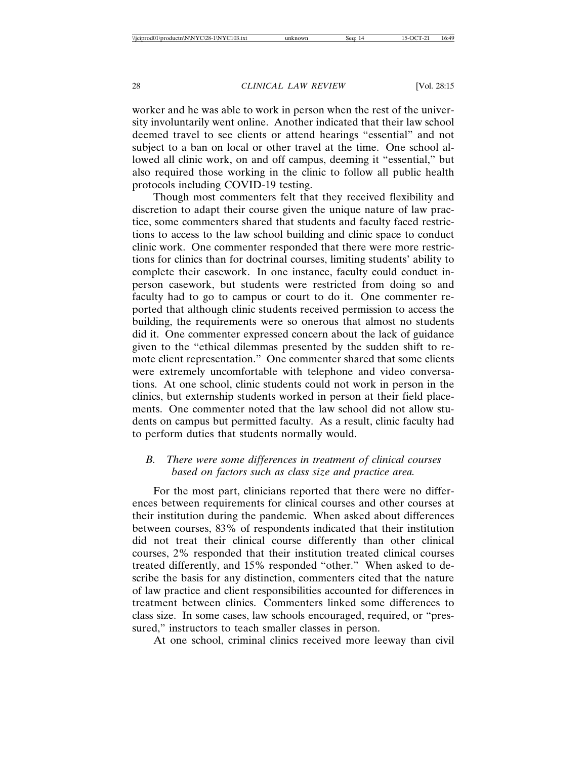worker and he was able to work in person when the rest of the university involuntarily went online. Another indicated that their law school deemed travel to see clients or attend hearings "essential" and not subject to a ban on local or other travel at the time. One school allowed all clinic work, on and off campus, deeming it "essential," but also required those working in the clinic to follow all public health protocols including COVID-19 testing.

Though most commenters felt that they received flexibility and discretion to adapt their course given the unique nature of law practice, some commenters shared that students and faculty faced restrictions to access to the law school building and clinic space to conduct clinic work. One commenter responded that there were more restrictions for clinics than for doctrinal courses, limiting students' ability to complete their casework. In one instance, faculty could conduct inperson casework, but students were restricted from doing so and faculty had to go to campus or court to do it. One commenter reported that although clinic students received permission to access the building, the requirements were so onerous that almost no students did it. One commenter expressed concern about the lack of guidance given to the "ethical dilemmas presented by the sudden shift to remote client representation." One commenter shared that some clients were extremely uncomfortable with telephone and video conversations. At one school, clinic students could not work in person in the clinics, but externship students worked in person at their field placements. One commenter noted that the law school did not allow students on campus but permitted faculty. As a result, clinic faculty had to perform duties that students normally would.

# *B. There were some differences in treatment of clinical courses based on factors such as class size and practice area.*

For the most part, clinicians reported that there were no differences between requirements for clinical courses and other courses at their institution during the pandemic. When asked about differences between courses, 83% of respondents indicated that their institution did not treat their clinical course differently than other clinical courses, 2% responded that their institution treated clinical courses treated differently, and 15% responded "other." When asked to describe the basis for any distinction, commenters cited that the nature of law practice and client responsibilities accounted for differences in treatment between clinics. Commenters linked some differences to class size. In some cases, law schools encouraged, required, or "pressured," instructors to teach smaller classes in person.

At one school, criminal clinics received more leeway than civil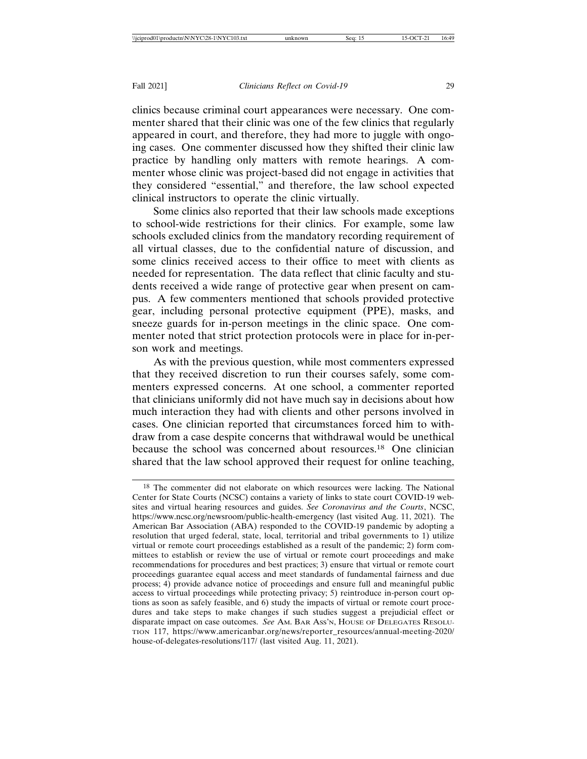clinics because criminal court appearances were necessary. One commenter shared that their clinic was one of the few clinics that regularly appeared in court, and therefore, they had more to juggle with ongoing cases. One commenter discussed how they shifted their clinic law practice by handling only matters with remote hearings. A commenter whose clinic was project-based did not engage in activities that they considered "essential," and therefore, the law school expected clinical instructors to operate the clinic virtually.

Some clinics also reported that their law schools made exceptions to school-wide restrictions for their clinics. For example, some law schools excluded clinics from the mandatory recording requirement of all virtual classes, due to the confidential nature of discussion, and some clinics received access to their office to meet with clients as needed for representation. The data reflect that clinic faculty and students received a wide range of protective gear when present on campus. A few commenters mentioned that schools provided protective gear, including personal protective equipment (PPE), masks, and sneeze guards for in-person meetings in the clinic space. One commenter noted that strict protection protocols were in place for in-person work and meetings.

As with the previous question, while most commenters expressed that they received discretion to run their courses safely, some commenters expressed concerns. At one school, a commenter reported that clinicians uniformly did not have much say in decisions about how much interaction they had with clients and other persons involved in cases. One clinician reported that circumstances forced him to withdraw from a case despite concerns that withdrawal would be unethical because the school was concerned about resources.18 One clinician shared that the law school approved their request for online teaching,

<sup>18</sup> The commenter did not elaborate on which resources were lacking. The National Center for State Courts (NCSC) contains a variety of links to state court COVID-19 websites and virtual hearing resources and guides. *See Coronavirus and the Courts*, NCSC, https://www.ncsc.org/newsroom/public-health-emergency (last visited Aug. 11, 2021). The American Bar Association (ABA) responded to the COVID-19 pandemic by adopting a resolution that urged federal, state, local, territorial and tribal governments to 1) utilize virtual or remote court proceedings established as a result of the pandemic; 2) form committees to establish or review the use of virtual or remote court proceedings and make recommendations for procedures and best practices; 3) ensure that virtual or remote court proceedings guarantee equal access and meet standards of fundamental fairness and due process; 4) provide advance notice of proceedings and ensure full and meaningful public access to virtual proceedings while protecting privacy; 5) reintroduce in-person court options as soon as safely feasible, and 6) study the impacts of virtual or remote court procedures and take steps to make changes if such studies suggest a prejudicial effect or disparate impact on case outcomes. *See* AM. BAR ASS'N, HOUSE OF DELEGATES RESOLU-TION 117, https://www.americanbar.org/news/reporter\_resources/annual-meeting-2020/ house-of-delegates-resolutions/117/ (last visited Aug. 11, 2021).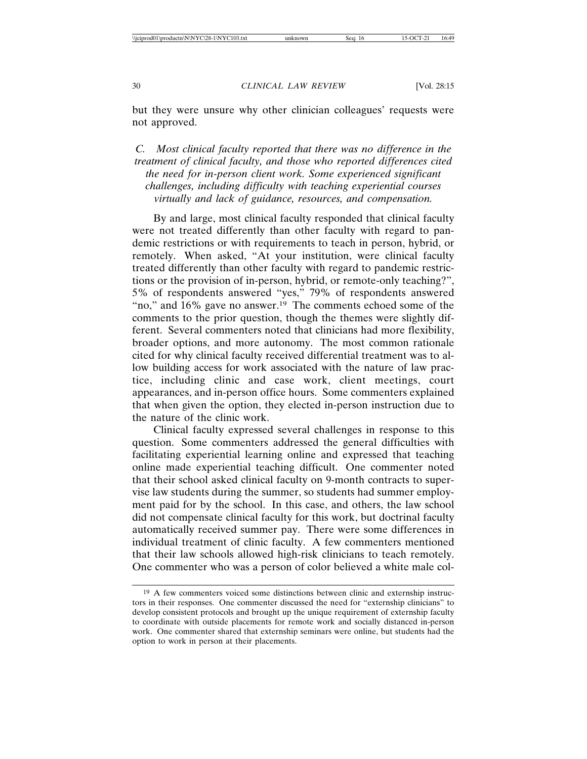but they were unsure why other clinician colleagues' requests were not approved.

*C. Most clinical faculty reported that there was no difference in the treatment of clinical faculty, and those who reported differences cited the need for in-person client work. Some experienced significant challenges, including difficulty with teaching experiential courses virtually and lack of guidance, resources, and compensation.*

By and large, most clinical faculty responded that clinical faculty were not treated differently than other faculty with regard to pandemic restrictions or with requirements to teach in person, hybrid, or remotely. When asked, "At your institution, were clinical faculty treated differently than other faculty with regard to pandemic restrictions or the provision of in-person, hybrid, or remote-only teaching?", 5% of respondents answered "yes," 79% of respondents answered "no," and 16% gave no answer.<sup>19</sup> The comments echoed some of the comments to the prior question, though the themes were slightly different. Several commenters noted that clinicians had more flexibility, broader options, and more autonomy. The most common rationale cited for why clinical faculty received differential treatment was to allow building access for work associated with the nature of law practice, including clinic and case work, client meetings, court appearances, and in-person office hours. Some commenters explained that when given the option, they elected in-person instruction due to the nature of the clinic work.

Clinical faculty expressed several challenges in response to this question. Some commenters addressed the general difficulties with facilitating experiential learning online and expressed that teaching online made experiential teaching difficult. One commenter noted that their school asked clinical faculty on 9-month contracts to supervise law students during the summer, so students had summer employment paid for by the school. In this case, and others, the law school did not compensate clinical faculty for this work, but doctrinal faculty automatically received summer pay. There were some differences in individual treatment of clinic faculty. A few commenters mentioned that their law schools allowed high-risk clinicians to teach remotely. One commenter who was a person of color believed a white male col-

<sup>19</sup> A few commenters voiced some distinctions between clinic and externship instructors in their responses. One commenter discussed the need for "externship clinicians" to develop consistent protocols and brought up the unique requirement of externship faculty to coordinate with outside placements for remote work and socially distanced in-person work. One commenter shared that externship seminars were online, but students had the option to work in person at their placements.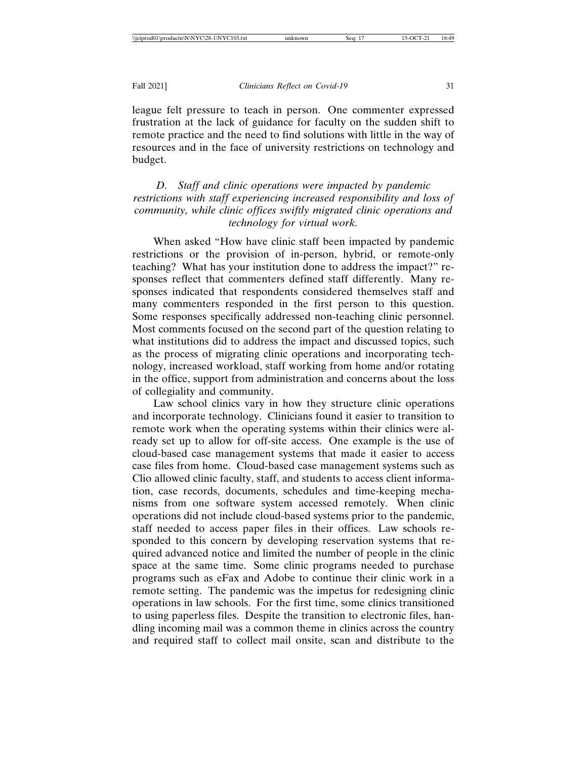league felt pressure to teach in person. One commenter expressed frustration at the lack of guidance for faculty on the sudden shift to remote practice and the need to find solutions with little in the way of resources and in the face of university restrictions on technology and budget.

*D. Staff and clinic operations were impacted by pandemic restrictions with staff experiencing increased responsibility and loss of community, while clinic offices swiftly migrated clinic operations and technology for virtual work.*

When asked "How have clinic staff been impacted by pandemic restrictions or the provision of in-person, hybrid, or remote-only teaching? What has your institution done to address the impact?" responses reflect that commenters defined staff differently. Many responses indicated that respondents considered themselves staff and many commenters responded in the first person to this question. Some responses specifically addressed non-teaching clinic personnel. Most comments focused on the second part of the question relating to what institutions did to address the impact and discussed topics, such as the process of migrating clinic operations and incorporating technology, increased workload, staff working from home and/or rotating in the office, support from administration and concerns about the loss of collegiality and community.

Law school clinics vary in how they structure clinic operations and incorporate technology. Clinicians found it easier to transition to remote work when the operating systems within their clinics were already set up to allow for off-site access. One example is the use of cloud-based case management systems that made it easier to access case files from home. Cloud-based case management systems such as Clio allowed clinic faculty, staff, and students to access client information, case records, documents, schedules and time-keeping mechanisms from one software system accessed remotely. When clinic operations did not include cloud-based systems prior to the pandemic, staff needed to access paper files in their offices. Law schools responded to this concern by developing reservation systems that required advanced notice and limited the number of people in the clinic space at the same time. Some clinic programs needed to purchase programs such as eFax and Adobe to continue their clinic work in a remote setting. The pandemic was the impetus for redesigning clinic operations in law schools. For the first time, some clinics transitioned to using paperless files. Despite the transition to electronic files, handling incoming mail was a common theme in clinics across the country and required staff to collect mail onsite, scan and distribute to the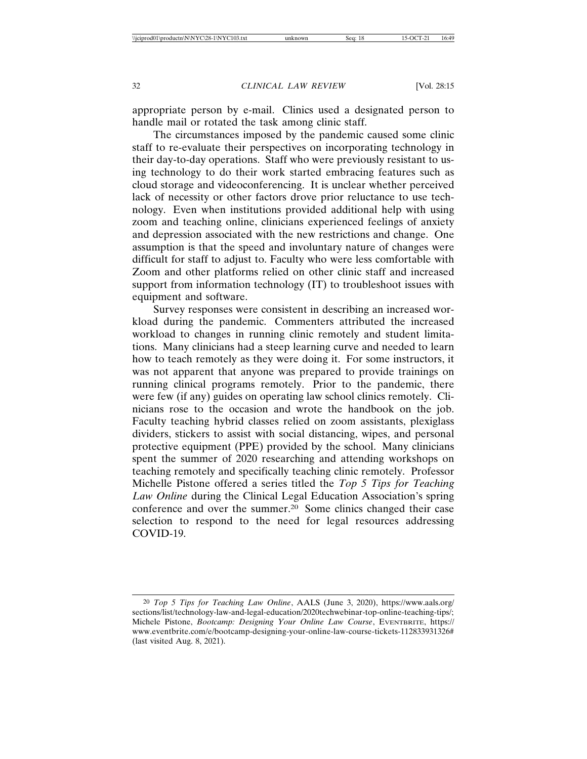appropriate person by e-mail. Clinics used a designated person to handle mail or rotated the task among clinic staff.

The circumstances imposed by the pandemic caused some clinic staff to re-evaluate their perspectives on incorporating technology in their day-to-day operations. Staff who were previously resistant to using technology to do their work started embracing features such as cloud storage and videoconferencing. It is unclear whether perceived lack of necessity or other factors drove prior reluctance to use technology. Even when institutions provided additional help with using zoom and teaching online, clinicians experienced feelings of anxiety and depression associated with the new restrictions and change. One assumption is that the speed and involuntary nature of changes were difficult for staff to adjust to. Faculty who were less comfortable with Zoom and other platforms relied on other clinic staff and increased support from information technology (IT) to troubleshoot issues with equipment and software.

Survey responses were consistent in describing an increased workload during the pandemic. Commenters attributed the increased workload to changes in running clinic remotely and student limitations. Many clinicians had a steep learning curve and needed to learn how to teach remotely as they were doing it. For some instructors, it was not apparent that anyone was prepared to provide trainings on running clinical programs remotely. Prior to the pandemic, there were few (if any) guides on operating law school clinics remotely. Clinicians rose to the occasion and wrote the handbook on the job. Faculty teaching hybrid classes relied on zoom assistants, plexiglass dividers, stickers to assist with social distancing, wipes, and personal protective equipment (PPE) provided by the school. Many clinicians spent the summer of 2020 researching and attending workshops on teaching remotely and specifically teaching clinic remotely. Professor Michelle Pistone offered a series titled the *Top 5 Tips for Teaching Law Online* during the Clinical Legal Education Association's spring conference and over the summer.20 Some clinics changed their case selection to respond to the need for legal resources addressing COVID-19.

<sup>20</sup> *Top 5 Tips for Teaching Law Online*, AALS (June 3, 2020), https://www.aals.org/ sections/list/technology-law-and-legal-education/2020techwebinar-top-online-teaching-tips/; Michele Pistone, *Bootcamp: Designing Your Online Law Course*, EVENTBRITE, https:// www.eventbrite.com/e/bootcamp-designing-your-online-law-course-tickets-112833931326# (last visited Aug. 8, 2021).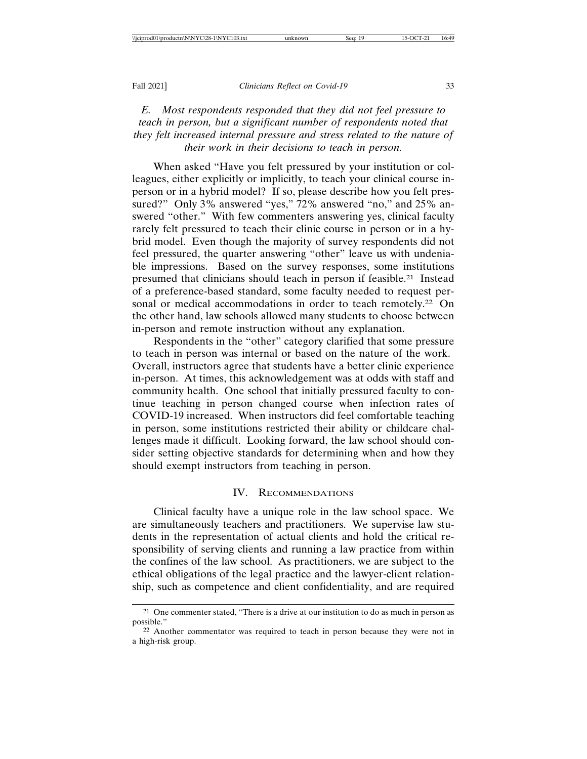# *E. Most respondents responded that they did not feel pressure to teach in person, but a significant number of respondents noted that they felt increased internal pressure and stress related to the nature of their work in their decisions to teach in person.*

When asked "Have you felt pressured by your institution or colleagues, either explicitly or implicitly, to teach your clinical course inperson or in a hybrid model? If so, please describe how you felt pressured?" Only 3% answered "yes," 72% answered "no," and 25% answered "other." With few commenters answering yes, clinical faculty rarely felt pressured to teach their clinic course in person or in a hybrid model. Even though the majority of survey respondents did not feel pressured, the quarter answering "other" leave us with undeniable impressions. Based on the survey responses, some institutions presumed that clinicians should teach in person if feasible.21 Instead of a preference-based standard, some faculty needed to request personal or medical accommodations in order to teach remotely.<sup>22</sup> On the other hand, law schools allowed many students to choose between in-person and remote instruction without any explanation.

Respondents in the "other" category clarified that some pressure to teach in person was internal or based on the nature of the work. Overall, instructors agree that students have a better clinic experience in-person. At times, this acknowledgement was at odds with staff and community health. One school that initially pressured faculty to continue teaching in person changed course when infection rates of COVID-19 increased. When instructors did feel comfortable teaching in person, some institutions restricted their ability or childcare challenges made it difficult. Looking forward, the law school should consider setting objective standards for determining when and how they should exempt instructors from teaching in person.

#### IV. RECOMMENDATIONS

Clinical faculty have a unique role in the law school space. We are simultaneously teachers and practitioners. We supervise law students in the representation of actual clients and hold the critical responsibility of serving clients and running a law practice from within the confines of the law school. As practitioners, we are subject to the ethical obligations of the legal practice and the lawyer-client relationship, such as competence and client confidentiality, and are required

<sup>21</sup> One commenter stated, "There is a drive at our institution to do as much in person as possible."

<sup>22</sup> Another commentator was required to teach in person because they were not in a high-risk group.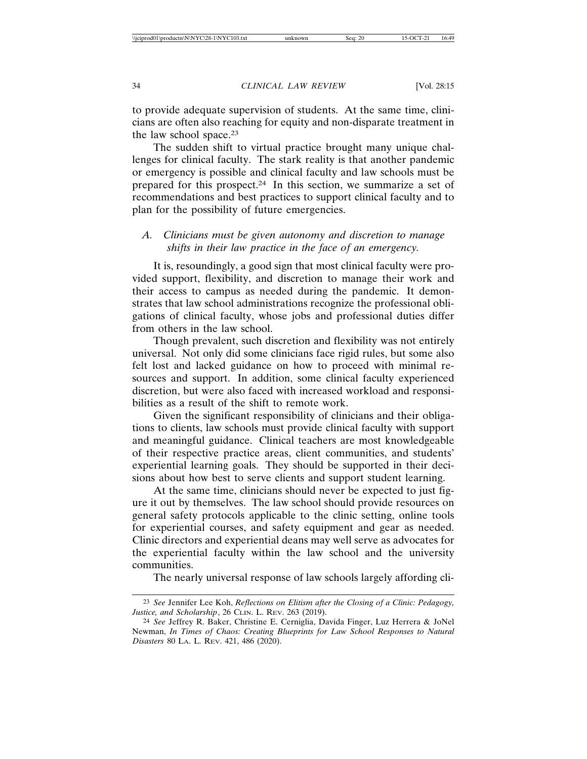to provide adequate supervision of students. At the same time, clinicians are often also reaching for equity and non-disparate treatment in the law school space.23

The sudden shift to virtual practice brought many unique challenges for clinical faculty. The stark reality is that another pandemic or emergency is possible and clinical faculty and law schools must be prepared for this prospect.24 In this section, we summarize a set of recommendations and best practices to support clinical faculty and to plan for the possibility of future emergencies.

## *A. Clinicians must be given autonomy and discretion to manage shifts in their law practice in the face of an emergency.*

It is, resoundingly, a good sign that most clinical faculty were provided support, flexibility, and discretion to manage their work and their access to campus as needed during the pandemic. It demonstrates that law school administrations recognize the professional obligations of clinical faculty, whose jobs and professional duties differ from others in the law school.

Though prevalent, such discretion and flexibility was not entirely universal. Not only did some clinicians face rigid rules, but some also felt lost and lacked guidance on how to proceed with minimal resources and support. In addition, some clinical faculty experienced discretion, but were also faced with increased workload and responsibilities as a result of the shift to remote work.

Given the significant responsibility of clinicians and their obligations to clients, law schools must provide clinical faculty with support and meaningful guidance. Clinical teachers are most knowledgeable of their respective practice areas, client communities, and students' experiential learning goals. They should be supported in their decisions about how best to serve clients and support student learning.

At the same time, clinicians should never be expected to just figure it out by themselves. The law school should provide resources on general safety protocols applicable to the clinic setting, online tools for experiential courses, and safety equipment and gear as needed. Clinic directors and experiential deans may well serve as advocates for the experiential faculty within the law school and the university communities.

The nearly universal response of law schools largely affording cli-

<sup>23</sup> *See* Jennifer Lee Koh, *Reflections on Elitism after the Closing of a Clinic: Pedagogy, Justice, and Scholarship*, 26 CLIN. L. REV. 263 (2019).

<sup>24</sup> *See* Jeffrey R. Baker, Christine E. Cerniglia, Davida Finger, Luz Herrera & JoNel Newman, *In Times of Chaos: Creating Blueprints for Law School Responses to Natural Disasters* 80 LA. L. REV. 421, 486 (2020).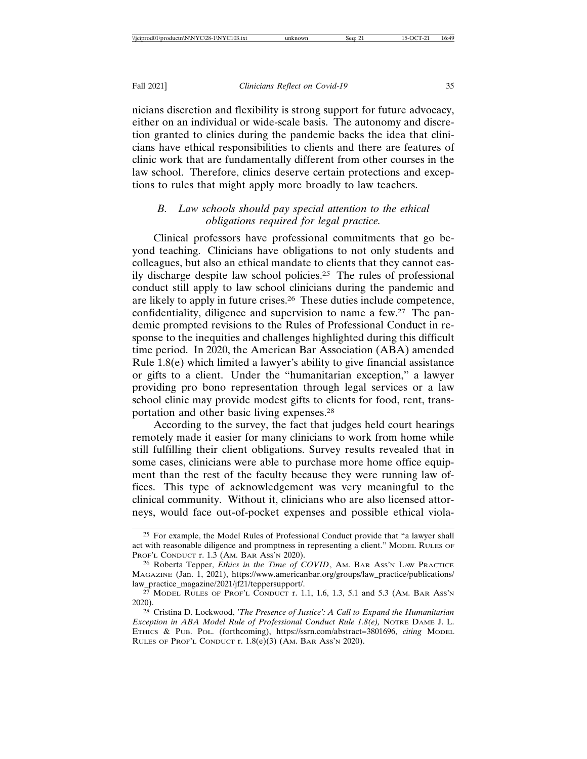nicians discretion and flexibility is strong support for future advocacy, either on an individual or wide-scale basis. The autonomy and discretion granted to clinics during the pandemic backs the idea that clinicians have ethical responsibilities to clients and there are features of clinic work that are fundamentally different from other courses in the law school. Therefore, clinics deserve certain protections and exceptions to rules that might apply more broadly to law teachers.

# *B. Law schools should pay special attention to the ethical obligations required for legal practice.*

Clinical professors have professional commitments that go beyond teaching. Clinicians have obligations to not only students and colleagues, but also an ethical mandate to clients that they cannot easily discharge despite law school policies.25 The rules of professional conduct still apply to law school clinicians during the pandemic and are likely to apply in future crises.26 These duties include competence, confidentiality, diligence and supervision to name a few.27 The pandemic prompted revisions to the Rules of Professional Conduct in response to the inequities and challenges highlighted during this difficult time period. In 2020, the American Bar Association (ABA) amended Rule 1.8(e) which limited a lawyer's ability to give financial assistance or gifts to a client. Under the "humanitarian exception," a lawyer providing pro bono representation through legal services or a law school clinic may provide modest gifts to clients for food, rent, transportation and other basic living expenses.28

According to the survey, the fact that judges held court hearings remotely made it easier for many clinicians to work from home while still fulfilling their client obligations. Survey results revealed that in some cases, clinicians were able to purchase more home office equipment than the rest of the faculty because they were running law offices. This type of acknowledgement was very meaningful to the clinical community. Without it, clinicians who are also licensed attorneys, would face out-of-pocket expenses and possible ethical viola-

<sup>25</sup> For example, the Model Rules of Professional Conduct provide that "a lawyer shall act with reasonable diligence and promptness in representing a client." MODEL RULES OF PROF'L CONDUCT r. 1.3 (AM. BAR ASS'N 2020).

<sup>26</sup> Roberta Tepper, *Ethics in the Time of COVID*, AM. BAR ASS'N LAW PRACTICE MAGAZINE (Jan. 1, 2021), https://www.americanbar.org/groups/law\_practice/publications/ law\_practice\_magazine/2021/jf21/teppersupport/.

<sup>27</sup> MODEL RULES OF PROF'L CONDUCT r. 1.1, 1.6, 1.3, 5.1 and 5.3 (AM. BAR ASS'N 2020).

<sup>28</sup> Cristina D. Lockwood, *'The Presence of Justice': A Call to Expand the Humanitarian Exception in ABA Model Rule of Professional Conduct Rule 1.8(e), NOTRE DAME J. L.* ETHICS & PUB. POL. (forthcoming), https://ssrn.com/abstract=3801696, *citing* MODEL RULES OF PROF'L CONDUCT r. 1.8(e)(3) (AM. BAR ASS'N 2020).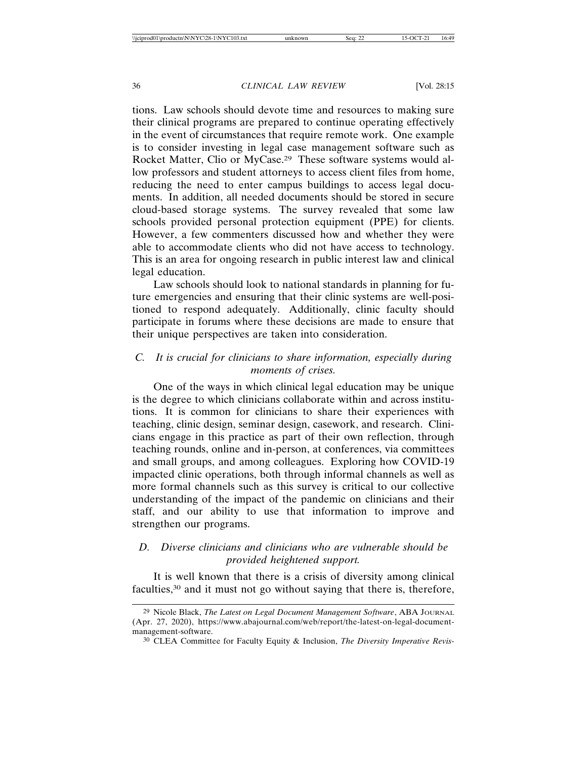tions. Law schools should devote time and resources to making sure their clinical programs are prepared to continue operating effectively in the event of circumstances that require remote work. One example is to consider investing in legal case management software such as Rocket Matter, Clio or MyCase.29 These software systems would allow professors and student attorneys to access client files from home, reducing the need to enter campus buildings to access legal documents. In addition, all needed documents should be stored in secure cloud-based storage systems. The survey revealed that some law schools provided personal protection equipment (PPE) for clients. However, a few commenters discussed how and whether they were able to accommodate clients who did not have access to technology. This is an area for ongoing research in public interest law and clinical legal education.

Law schools should look to national standards in planning for future emergencies and ensuring that their clinic systems are well-positioned to respond adequately. Additionally, clinic faculty should participate in forums where these decisions are made to ensure that their unique perspectives are taken into consideration.

# *C. It is crucial for clinicians to share information, especially during moments of crises.*

One of the ways in which clinical legal education may be unique is the degree to which clinicians collaborate within and across institutions. It is common for clinicians to share their experiences with teaching, clinic design, seminar design, casework, and research. Clinicians engage in this practice as part of their own reflection, through teaching rounds, online and in-person, at conferences, via committees and small groups, and among colleagues. Exploring how COVID-19 impacted clinic operations, both through informal channels as well as more formal channels such as this survey is critical to our collective understanding of the impact of the pandemic on clinicians and their staff, and our ability to use that information to improve and strengthen our programs.

# *D. Diverse clinicians and clinicians who are vulnerable should be provided heightened support.*

It is well known that there is a crisis of diversity among clinical faculties,<sup>30</sup> and it must not go without saying that there is, therefore,

<sup>29</sup> Nicole Black, *The Latest on Legal Document Management Software*, ABA JOURNAL (Apr. 27, 2020), https://www.abajournal.com/web/report/the-latest-on-legal-documentmanagement-software.

<sup>30</sup> CLEA Committee for Faculty Equity & Inclusion, *The Diversity Imperative Revis-*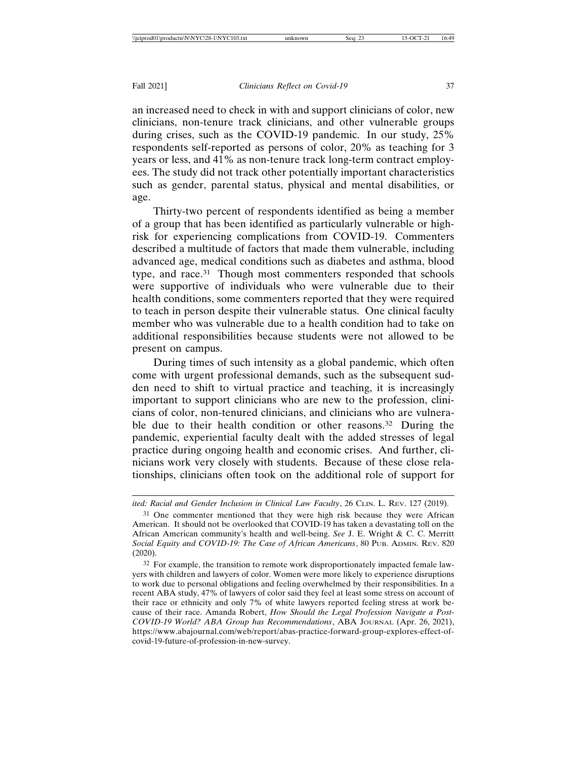an increased need to check in with and support clinicians of color, new clinicians, non-tenure track clinicians, and other vulnerable groups during crises, such as the COVID-19 pandemic. In our study, 25% respondents self-reported as persons of color, 20% as teaching for 3 years or less, and 41% as non-tenure track long-term contract employees. The study did not track other potentially important characteristics such as gender, parental status, physical and mental disabilities, or age.

Thirty-two percent of respondents identified as being a member of a group that has been identified as particularly vulnerable or highrisk for experiencing complications from COVID-19. Commenters described a multitude of factors that made them vulnerable, including advanced age, medical conditions such as diabetes and asthma, blood type, and race.31 Though most commenters responded that schools were supportive of individuals who were vulnerable due to their health conditions, some commenters reported that they were required to teach in person despite their vulnerable status. One clinical faculty member who was vulnerable due to a health condition had to take on additional responsibilities because students were not allowed to be present on campus.

During times of such intensity as a global pandemic, which often come with urgent professional demands, such as the subsequent sudden need to shift to virtual practice and teaching, it is increasingly important to support clinicians who are new to the profession, clinicians of color, non-tenured clinicians, and clinicians who are vulnerable due to their health condition or other reasons.<sup>32</sup> During the pandemic, experiential faculty dealt with the added stresses of legal practice during ongoing health and economic crises. And further, clinicians work very closely with students. Because of these close relationships, clinicians often took on the additional role of support for

*ited: Racial and Gender Inclusion in Clinical Law Faculty*, 26 CLIN. L. REV. 127 (2019).

<sup>31</sup> One commenter mentioned that they were high risk because they were African American. It should not be overlooked that COVID-19 has taken a devastating toll on the African American community's health and well-being. *See* J. E. Wright & C. C. Merritt *Social Equity and COVID-19: The Case of African Americans*, 80 PUB. ADMIN. REV. 820 (2020).

<sup>32</sup> For example, the transition to remote work disproportionately impacted female lawyers with children and lawyers of color. Women were more likely to experience disruptions to work due to personal obligations and feeling overwhelmed by their responsibilities. In a recent ABA study, 47% of lawyers of color said they feel at least some stress on account of their race or ethnicity and only 7% of white lawyers reported feeling stress at work because of their race. Amanda Robert, *How Should the Legal Profession Navigate a Post-COVID-19 World? ABA Group has Recommendations*, ABA JOURNAL (Apr. 26, 2021), https://www.abajournal.com/web/report/abas-practice-forward-group-explores-effect-ofcovid-19-future-of-profession-in-new-survey.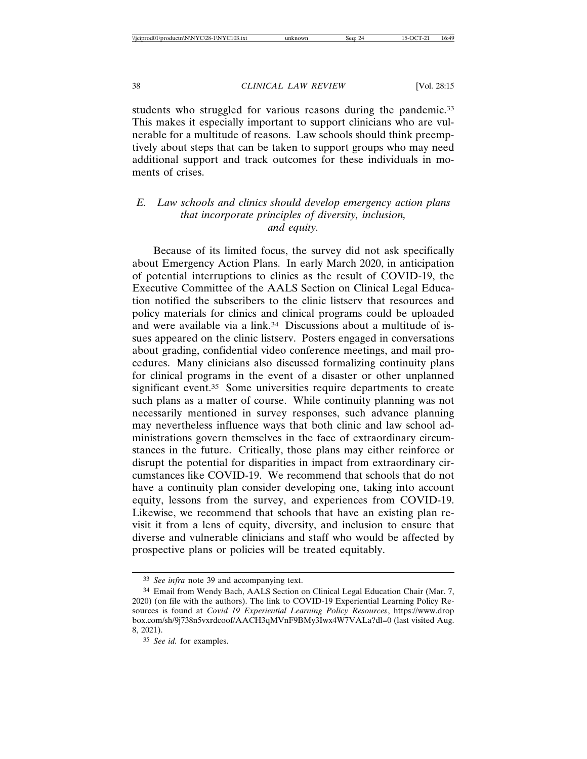students who struggled for various reasons during the pandemic.<sup>33</sup> This makes it especially important to support clinicians who are vulnerable for a multitude of reasons. Law schools should think preemptively about steps that can be taken to support groups who may need additional support and track outcomes for these individuals in moments of crises.

# *E. Law schools and clinics should develop emergency action plans that incorporate principles of diversity, inclusion, and equity.*

Because of its limited focus, the survey did not ask specifically about Emergency Action Plans. In early March 2020, in anticipation of potential interruptions to clinics as the result of COVID-19, the Executive Committee of the AALS Section on Clinical Legal Education notified the subscribers to the clinic listserv that resources and policy materials for clinics and clinical programs could be uploaded and were available via a link.<sup>34</sup> Discussions about a multitude of issues appeared on the clinic listserv. Posters engaged in conversations about grading, confidential video conference meetings, and mail procedures. Many clinicians also discussed formalizing continuity plans for clinical programs in the event of a disaster or other unplanned significant event.<sup>35</sup> Some universities require departments to create such plans as a matter of course. While continuity planning was not necessarily mentioned in survey responses, such advance planning may nevertheless influence ways that both clinic and law school administrations govern themselves in the face of extraordinary circumstances in the future. Critically, those plans may either reinforce or disrupt the potential for disparities in impact from extraordinary circumstances like COVID-19. We recommend that schools that do not have a continuity plan consider developing one, taking into account equity, lessons from the survey, and experiences from COVID-19. Likewise, we recommend that schools that have an existing plan revisit it from a lens of equity, diversity, and inclusion to ensure that diverse and vulnerable clinicians and staff who would be affected by prospective plans or policies will be treated equitably.

<sup>33</sup> *See infra* note 39 and accompanying text.

<sup>34</sup> Email from Wendy Bach, AALS Section on Clinical Legal Education Chair (Mar. 7, 2020) (on file with the authors). The link to COVID-19 Experiential Learning Policy Resources is found at *Covid 19 Experiential Learning Policy Resources*, https://www.drop box.com/sh/9j738n5vxrdcoof/AACH3qMVnF9BMy3Iwx4W7VALa?dl=0 (last visited Aug. 8, 2021).

<sup>35</sup> *See id.* for examples.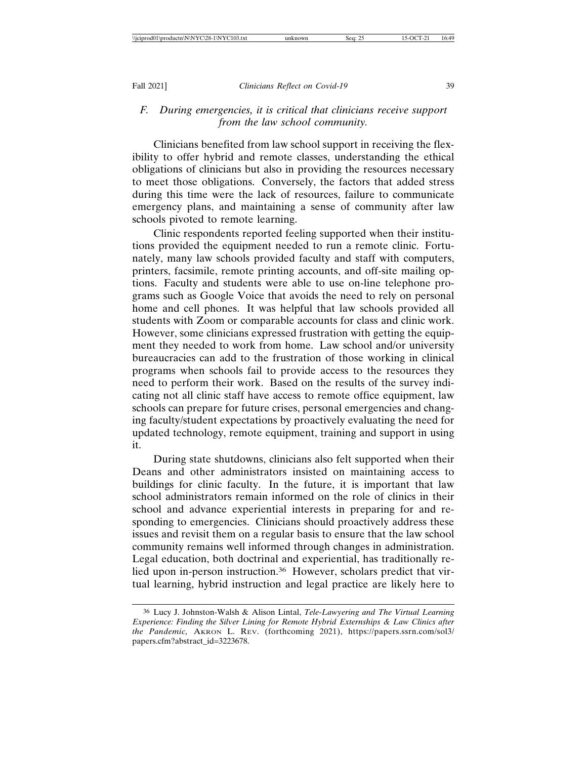## *F. During emergencies, it is critical that clinicians receive support from the law school community.*

Clinicians benefited from law school support in receiving the flexibility to offer hybrid and remote classes, understanding the ethical obligations of clinicians but also in providing the resources necessary to meet those obligations. Conversely, the factors that added stress during this time were the lack of resources, failure to communicate emergency plans, and maintaining a sense of community after law schools pivoted to remote learning.

Clinic respondents reported feeling supported when their institutions provided the equipment needed to run a remote clinic. Fortunately, many law schools provided faculty and staff with computers, printers, facsimile, remote printing accounts, and off-site mailing options. Faculty and students were able to use on-line telephone programs such as Google Voice that avoids the need to rely on personal home and cell phones. It was helpful that law schools provided all students with Zoom or comparable accounts for class and clinic work. However, some clinicians expressed frustration with getting the equipment they needed to work from home. Law school and/or university bureaucracies can add to the frustration of those working in clinical programs when schools fail to provide access to the resources they need to perform their work. Based on the results of the survey indicating not all clinic staff have access to remote office equipment, law schools can prepare for future crises, personal emergencies and changing faculty/student expectations by proactively evaluating the need for updated technology, remote equipment, training and support in using it.

During state shutdowns, clinicians also felt supported when their Deans and other administrators insisted on maintaining access to buildings for clinic faculty. In the future, it is important that law school administrators remain informed on the role of clinics in their school and advance experiential interests in preparing for and responding to emergencies. Clinicians should proactively address these issues and revisit them on a regular basis to ensure that the law school community remains well informed through changes in administration. Legal education, both doctrinal and experiential, has traditionally relied upon in-person instruction.<sup>36</sup> However, scholars predict that virtual learning, hybrid instruction and legal practice are likely here to

<sup>36</sup> Lucy J. Johnston-Walsh & Alison Lintal, *Tele-Lawyering and The Virtual Learning Experience: Finding the Silver Lining for Remote Hybrid Externships & Law Clinics after the Pandemic,* AKRON L. REV. (forthcoming 2021), https://papers.ssrn.com/sol3/ papers.cfm?abstract\_id=3223678.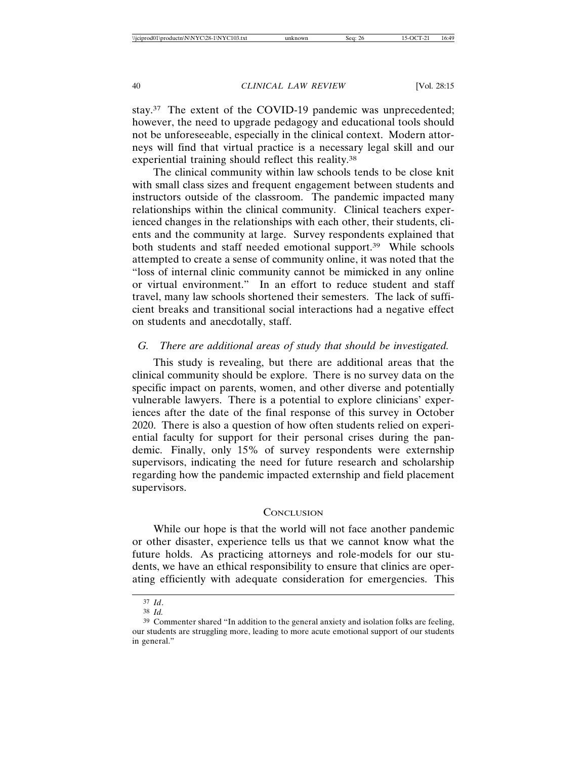stay.37 The extent of the COVID-19 pandemic was unprecedented; however, the need to upgrade pedagogy and educational tools should not be unforeseeable, especially in the clinical context. Modern attorneys will find that virtual practice is a necessary legal skill and our experiential training should reflect this reality.38

The clinical community within law schools tends to be close knit with small class sizes and frequent engagement between students and instructors outside of the classroom. The pandemic impacted many relationships within the clinical community. Clinical teachers experienced changes in the relationships with each other, their students, clients and the community at large. Survey respondents explained that both students and staff needed emotional support.<sup>39</sup> While schools attempted to create a sense of community online, it was noted that the "loss of internal clinic community cannot be mimicked in any online or virtual environment." In an effort to reduce student and staff travel, many law schools shortened their semesters. The lack of sufficient breaks and transitional social interactions had a negative effect on students and anecdotally, staff.

#### *G. There are additional areas of study that should be investigated.*

This study is revealing, but there are additional areas that the clinical community should be explore. There is no survey data on the specific impact on parents, women, and other diverse and potentially vulnerable lawyers. There is a potential to explore clinicians' experiences after the date of the final response of this survey in October 2020. There is also a question of how often students relied on experiential faculty for support for their personal crises during the pandemic. Finally, only 15% of survey respondents were externship supervisors, indicating the need for future research and scholarship regarding how the pandemic impacted externship and field placement supervisors.

#### **CONCLUSION**

While our hope is that the world will not face another pandemic or other disaster, experience tells us that we cannot know what the future holds. As practicing attorneys and role-models for our students, we have an ethical responsibility to ensure that clinics are operating efficiently with adequate consideration for emergencies. This

<sup>37</sup> *Id*.

<sup>38</sup> *Id.*

<sup>39</sup> Commenter shared "In addition to the general anxiety and isolation folks are feeling, our students are struggling more, leading to more acute emotional support of our students in general."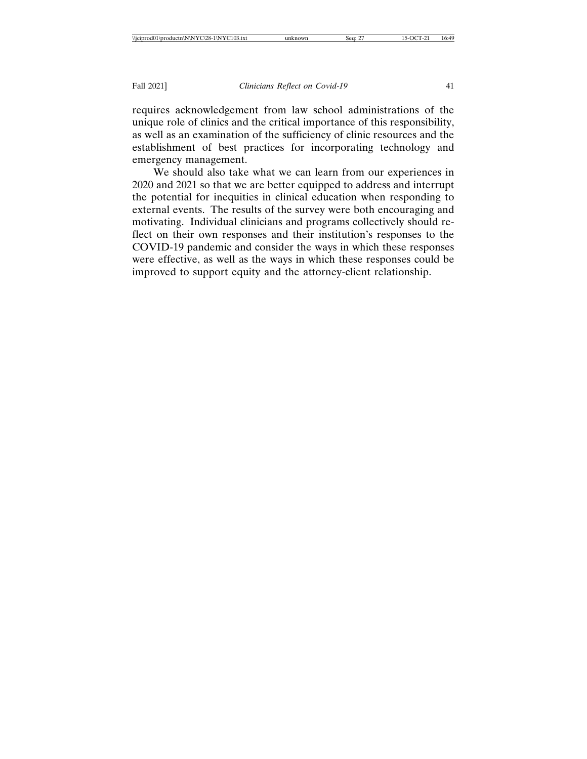requires acknowledgement from law school administrations of the unique role of clinics and the critical importance of this responsibility, as well as an examination of the sufficiency of clinic resources and the establishment of best practices for incorporating technology and emergency management.

We should also take what we can learn from our experiences in 2020 and 2021 so that we are better equipped to address and interrupt the potential for inequities in clinical education when responding to external events. The results of the survey were both encouraging and motivating. Individual clinicians and programs collectively should reflect on their own responses and their institution's responses to the COVID-19 pandemic and consider the ways in which these responses were effective, as well as the ways in which these responses could be improved to support equity and the attorney-client relationship.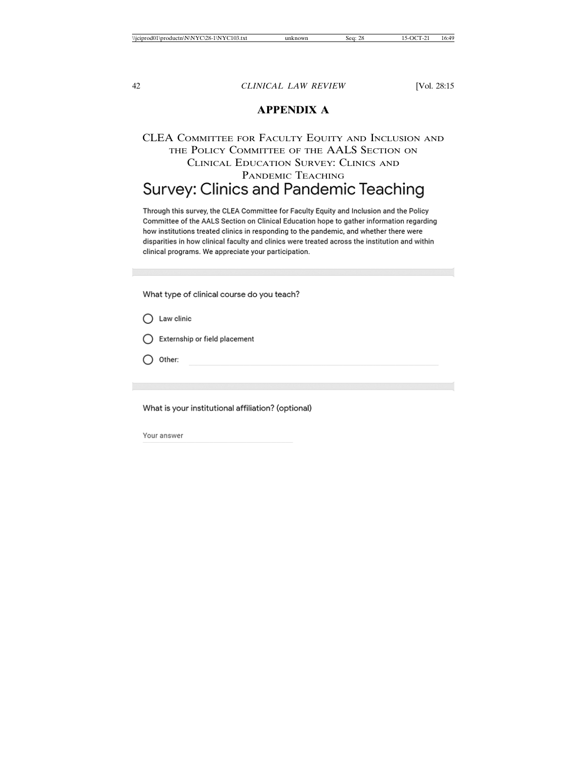# **APPENDIX A**

# CLEA COMMITTEE FOR FACULTY EQUITY AND INCLUSION AND THE POLICY COMMITTEE OF THE AALS SECTION ON CLINICAL EDUCATION SURVEY: CLINICS AND **PANDEMIC TEACHING**<br>Survey: Clinics and Pandemic Teaching

Through this survey, the CLEA Committee for Faculty Equity and Inclusion and the Policy Committee of the AALS Section on Clinical Education hope to gather information regarding how institutions treated clinics in responding to the pandemic, and whether there were disparities in how clinical faculty and clinics were treated across the institution and within clinical programs. We appreciate your participation.

What type of clinical course do you teach?

- $\bigcap$  Law clinic
- $\bigcap$  Externship or field placement
- $\bigcap$  Other:

What is your institutional affiliation? (optional)

Your answer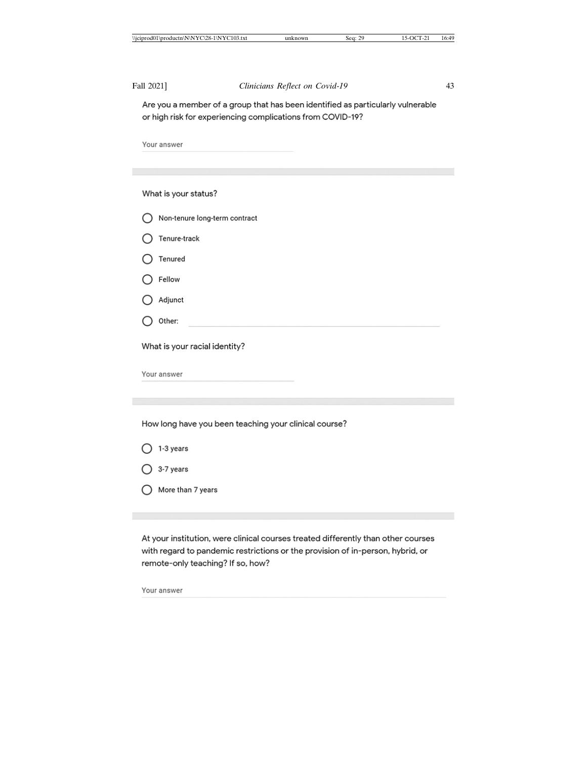Fall 2021] *Clinicians Reflect on Covid-19* 43 Are you a member of a group that has been identified as particularly vulnerable or high risk for experiencing complications from COVID-19? Your answer What is your status? ◯ Non-tenure long-term contract  $\bigcirc$  Tenure-track  $\bigcirc$  Tenured  $\bigcirc$  Fellow  $\bigcirc$  Adjunct  $\bigcirc$  Other: What is your racial identity? Your answer How long have you been teaching your clinical course?

- $\bigcirc$  1-3 years
- $O$  3-7 years
- ◯ More than 7 years

At your institution, were clinical courses treated differently than other courses with regard to pandemic restrictions or the provision of in-person, hybrid, or remote-only teaching? If so, how?

Your answer